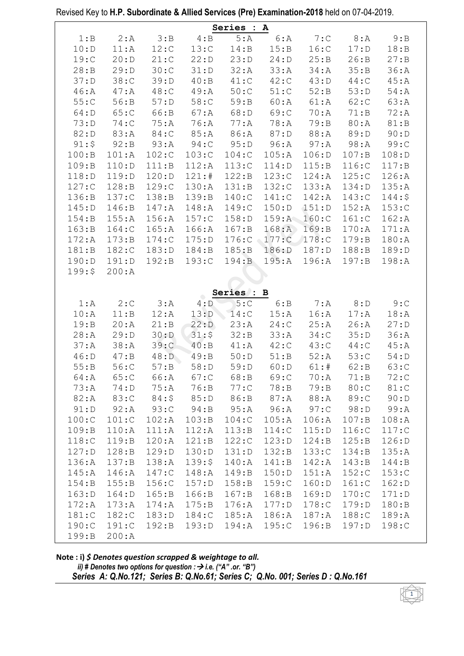|                |                |          |          | Series : A |        |          |          |         |
|----------------|----------------|----------|----------|------------|--------|----------|----------|---------|
| 1:B            | 2: A           | 3:B      | 4:B      | 5:A        | 6: A   | 7:C      | 8: A     | 9:B     |
| 10: D          | 11:A           | 12:C     | 13:C     | 14:B       | 15:B   | 16:C     | 17: D    | 18:B    |
| 19:C           | 20: D          | 21:C     | 22: D    | 23:D       | 24: D  | 25:B     | 26:B     | 27: B   |
| 28:B           | 29:D           | 30:C     | 31: D    | 32:A       | 33:A   | 34: A    | 35:B     | 36:A    |
| 37:D           | 38:C           | 39:D     | 40:B     | 41:C       | 42:C   | 43:D     | $44:$ C  | 45:A    |
| 46:A           | 47: A          | $48:$ C  | 49: A    | 50:C       | 51:C   | 52:B     | 53:D     | $54:$ A |
| 55:C           | 56:B           | 57:D     | 58:      | 59: B      | 60:A   | 61:A     | 62:C     | 63:A    |
| 64: D          | 65:C           | 66:B     | 67: A    | 68:D       | 69:C   | 70:A     | 71:B     | 72:A    |
| 73: D          | 74:            | 75:A     | 76:A     | 77:A       | 78:A   | 79: B    | 80:A     | 81:B    |
| 82: D          | 83:A           | 84:C     | 85:A     | 86:A       | 87:D   | 88: A    | 89:D     | 90: D   |
| 91:5           | 92: B          | 93:A     | 94:C     | 95: D      | 96:A   | 97: A    | 98:A     | 99:C    |
| 100:B          | 101:A          | 102:C    | 103:C    | 104:C      | 105:A  | 106: D   | 107: B   | 108: D  |
| 109:B          | 110: D         | 111:B    | 112:A    | 113:C      | 114: D | 115:B    | 116:C    | 117:B   |
| 118: D         | 119: D         | 120: D   | 121:#    | 122:B      | 123:C  | $124:$ A | 125:C    | 126:A   |
| 127:           | 128:B          | 129:     | 130:A    | 131:B      | 132:C  | 133:A    | 134: D   | 135:A   |
| 136:B          | 137:           | 138:B    | 139:B    | $140:$ C   | 141:C  | $142:$ A | $143:$ C | 144:5   |
| 145: D         | 146:B          | $147:$ A | $148:$ A | 149:C      | 150: D | 151: D   | 152:A    | 153:C   |
| 154:B          | 155:A          | 156:A    | 157:C    | 158: D     | 159:A  | 160:C    | 161:C    | 162:A   |
| 163:B          | 164:C          | 165:A    | 166:A    | 167: B     | 168:A  | 169:B    | 170:A    | 171:A   |
| 172:A          | 173:B          | 174:C    | 175:D    | 176:C      | 177:C  | 178:C    | 179:B    | 180:A   |
| 181:B          | 182:           | 183: D   | 184:B    | 185:B      | 186: D | 187: D   | 188:B    | 189:D   |
| 190: D         | 191: D         | 192:B    | 193:C    | 194:B      | 195:A  | 196:A    | 197: B   | 198:A   |
| 199:5          | 200:A          |          |          |            |        |          |          |         |
|                |                |          |          |            |        |          |          |         |
|                |                |          |          | Series : B |        |          |          |         |
| 1:A            | 2:C            | 3:A      | 4: D     | 5:C        | 6:B    | 7: A     | 8: D     | 9:C     |
| 10:A           | 11:B           | 12:A     | 13: D    | 14:C       | 15:A   | 16:A     | 17: A    | 18:A    |
| 19:B           | 20:A           | 21:B     | 22: D    | 23:A       | 24:C   | 25:A     | 26:A     | 27:D    |
| 28:A           | 29:D           | 30: D    | 31:5     | 32:B       | 33:A   | 34:      | 35:D     | 36:A    |
| 37: A          | 38:A           | 39:C     | 40:B     | 41:A       | 42:C   | 43:C     | $44:$ C  | 45:A    |
| 46: D          | 47: B          | 48: D    | 49:B     | 50: D      | 51:B   | 52:A     | 53:C     | 54: D   |
| 55:B           | 56:C           | 57: B    | 58:D     | 59: D      | 60:D   | 61:#     | 62:B     | 63:C    |
| 64:A           | 65:C           | 66:A     | 67:C     | 68:B       | 69:C   | 70:A     | 71:B     | 72:     |
| 73: A          | 74: D          | 75:A     | 76:B     | 77:C       | 78: B  | 79: B    | 80:C     | 81:C    |
| 82:A           | 83:C           | 84:5     | 85:D     | 86:B       | 87:A   | 88:A     | 89:C     | 90: D   |
| 91: D          | 92:A           | 93:C     | 94:B     | 95:A       | 96:A   | 97:C     | 98: D    | 99: A   |
| 100:C          | 101:C          | 102:A    | 103:B    | 104:C      | 105:A  | 106:A    | 107:B    | 108:A   |
| 109:B          | 110:A          | 111:A    | 112:A    | 113:B      | 114:C  | 115:D    | 116:C    | 117:    |
| 118:C          | 119:B          | 120:A    | 121:B    | 122:C      | 123:D  | 124:B    | 125:B    | 126: D  |
| 127: D         | 128:B          | 129: D   | 130: D   | 131: D     | 132:B  | 133:C    | 134:B    | 135:A   |
| 136:A          | 137: B         | 138:A    | 139:5    | 140:A      | 141:B  | $142:$ A | 143:B    | 144:B   |
| 145:A          | $146:$ A       | 147:     | $148:$ A | 149:B      | 150: D | 151:A    | $152:$ C | 153:C   |
| 154:B          | 155:B          | 156:     | 157: D   | 158: B     | 159:   | 160: D   | 161:C    | 162: D  |
| 163: D         | 164: D         | 165:B    | 166:B    | 167:B      | 168:B  | 169: D   | $170:$ C | 171: D  |
| 172:A          | 173:A          | $174:$ A | 175:B    | $176:$ A   | 177: D | $178:$ C | 179:D    | 180:B   |
| 181:C          | 182:           | 183:D    | 184:     | 185:A      | 186:A  | $187:$ A | $188:$ C | 189:A   |
| 190:C<br>199:B | 191:C<br>200:A | 192:B    | 193: D   | 194:A      | 195:C  | 196:B    | 197: D   | 198:    |
|                |                |          |          |            |        |          |          |         |

Revised Key to H.P. Subordinate & Allied Services (Pre) Examination-2018 held on 07-04-2019.

```
Note : i) $ Denotes question scrapped & weightage to all.<br>
ii) # Denotes two options for question : \rightarrow i.e. ("A" .or. "B")<br>
Series A: Q.No.121; Series B: Q.No.61; Series C; Q.No. 001; Series D : Q.No.161
```